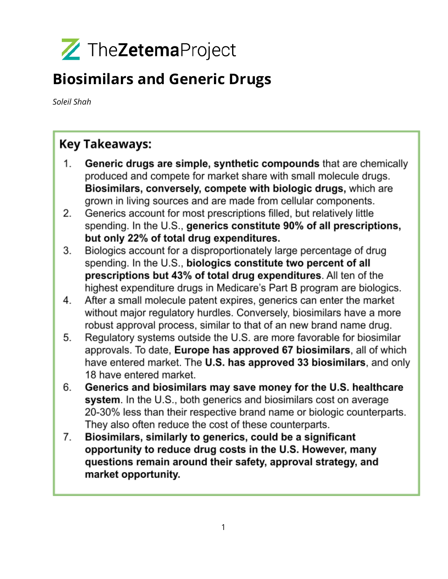

## **Biosimilars and Generic Drugs**

Soleil Shah

## **Key Takeaways:**

- Generic drugs are simple, synthetic compounds that are chemically 1. produced and compete for market share with small molecule drugs. Biosimilars, conversely, compete with biologic drugs, which are grown in living sources and are made from cellular components.
- 2. Generics account for most prescriptions filled, but relatively little spending. In the U.S., generics constitute 90% of all prescriptions, but only 22% of total drug expenditures.
- 3. Biologics account for a disproportionately large percentage of drug spending. In the U.S., biologics constitute two percent of all prescriptions but 43% of total drug expenditures. All ten of the highest expenditure drugs in Medicare's Part B program are biologics.
- After a small molecule patent expires, generics can enter the market 4. without major regulatory hurdles. Conversely, biosimilars have a more robust approval process, similar to that of an new brand name drug.
- Regulatory systems outside the U.S. are more favorable for biosimilar 5. approvals. To date, Europe has approved 67 biosimilars, all of which have entered market. The U.S. has approved 33 biosimilars, and only 18 have entered market.
- Generics and biosimilars may save money for the U.S. healthcare 6. system. In the U.S., both generics and biosimilars cost on average 20-30% less than their respective brand name or biologic counterparts. They also often reduce the cost of these counterparts.
- Biosimilars, similarly to generics, could be a significant 7. opportunity to reduce drug costs in the U.S. However, many questions remain around their safety, approval strategy, and market opportunity.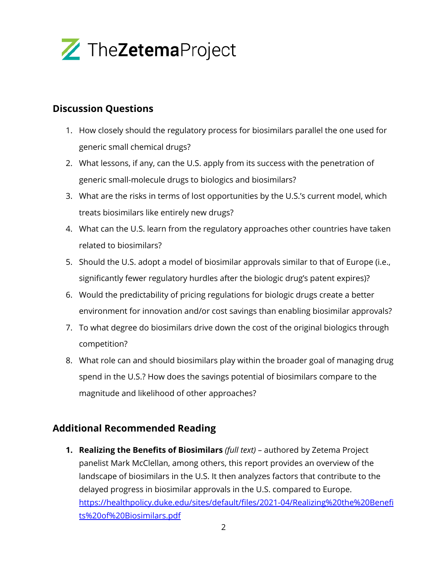

## **Discussion Questions**

- 1. How closely should the regulatory process for biosimilars parallel the one used for generic small chemical drugs?
- 2. What lessons, if any, can the U.S. apply from its success with the penetration of generic small-molecule drugs to biologics and biosimilars?
- 3. What are the risks in terms of lost opportunities by the U.S.'s current model, which treats biosimilars like entirely new drugs?
- 4. What can the U.S. learn from the regulatory approaches other countries have taken related to biosimilars?
- 5. Should the U.S. adopt a model of biosimilar approvals similar to that of Europe (i.e., significantly fewer regulatory hurdles after the biologic drug's patent expires)?
- 6. Would the predictability of pricing regulations for biologic drugs create a better environment for innovation and/or cost savings than enabling biosimilar approvals?
- 7. To what degree do biosimilars drive down the cost of the original biologics through competition?
- 8. What role can and should biosimilars play within the broader goal of managing drug spend in the U.S.? How does the savings potential of biosimilars compare to the magnitude and likelihood of other approaches?

## **Additional Recommended Reading**

**1. Realizing the Benefits of Biosimilars** *(full text)* – authored by Zetema Project panelist Mark McClellan, among others, this report provides an overview of the landscape of biosimilars in the U.S. It then analyzes factors that contribute to the delayed progress in biosimilar approvals in the U.S. compared to Europe. [https://healthpolicy.duke.edu/sites/default/files/2021-04/Realizing%20the%20Benefi](https://healthpolicy.duke.edu/sites/default/files/2021-04/Realizing%20the%20Benefits%20of%20Biosimilars.pdf) [ts%20of%20Biosimilars.pdf](https://healthpolicy.duke.edu/sites/default/files/2021-04/Realizing%20the%20Benefits%20of%20Biosimilars.pdf)